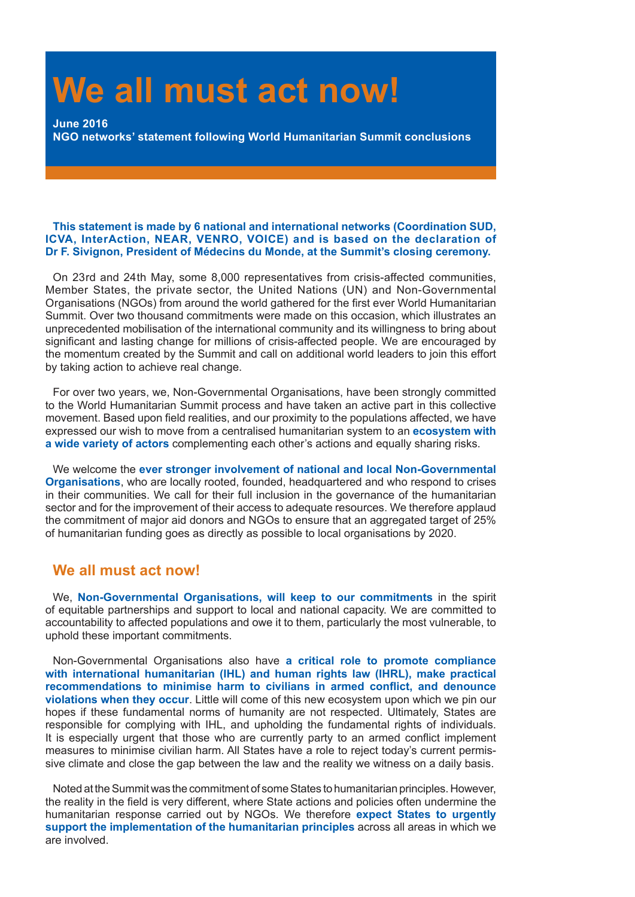# **We all must act now!**

**June 2016 NGO networks' statement following World Humanitarian Summit conclusions**

### **This statement is made by 6 national and international networks (Coordination SUD, ICVA, InterAction, NEAR, VENRO, VOICE) and is based on the declaration of Dr F. Sivignon, President of Médecins du Monde, at the Summit's closing ceremony.**

On 23rd and 24th May, some 8,000 representatives from crisis-affected communities, Member States, the private sector, the United Nations (UN) and Non-Governmental Organisations (NGOs) from around the world gathered for the first ever World Humanitarian Summit. Over two thousand commitments were made on this occasion, which illustrates an unprecedented mobilisation of the international community and its willingness to bring about significant and lasting change for millions of crisis-affected people. We are encouraged by the momentum created by the Summit and call on additional world leaders to join this effort by taking action to achieve real change.

For over two years, we, Non-Governmental Organisations, have been strongly committed to the World Humanitarian Summit process and have taken an active part in this collective movement. Based upon field realities, and our proximity to the populations affected, we have expressed our wish to move from a centralised humanitarian system to an **ecosystem with a wide variety of actors** complementing each other's actions and equally sharing risks.

We welcome the **ever stronger involvement of national and local Non-Governmental Organisations**, who are locally rooted, founded, headquartered and who respond to crises in their communities. We call for their full inclusion in the governance of the humanitarian sector and for the improvement of their access to adequate resources. We therefore applaud the commitment of major aid donors and NGOs to ensure that an aggregated target of 25% of humanitarian funding goes as directly as possible to local organisations by 2020.

# **We all must act now!**

We, **Non-Governmental Organisations, will keep to our commitments** in the spirit of equitable partnerships and support to local and national capacity. We are committed to accountability to affected populations and owe it to them, particularly the most vulnerable, to uphold these important commitments.

Non-Governmental Organisations also have **a critical role to promote compliance with international humanitarian (IHL) and human rights law (IHRL), make practical recommendations to minimise harm to civilians in armed conflict, and denounce violations when they occur**. Little will come of this new ecosystem upon which we pin our hopes if these fundamental norms of humanity are not respected. Ultimately, States are responsible for complying with IHL, and upholding the fundamental rights of individuals. It is especially urgent that those who are currently party to an armed conflict implement measures to minimise civilian harm. All States have a role to reject today's current permissive climate and close the gap between the law and the reality we witness on a daily basis.

Noted at the Summit was the commitment of some States to humanitarian principles. However, the reality in the field is very different, where State actions and policies often undermine the humanitarian response carried out by NGOs. We therefore **expect States to urgently support the implementation of the humanitarian principles** across all areas in which we are involved.